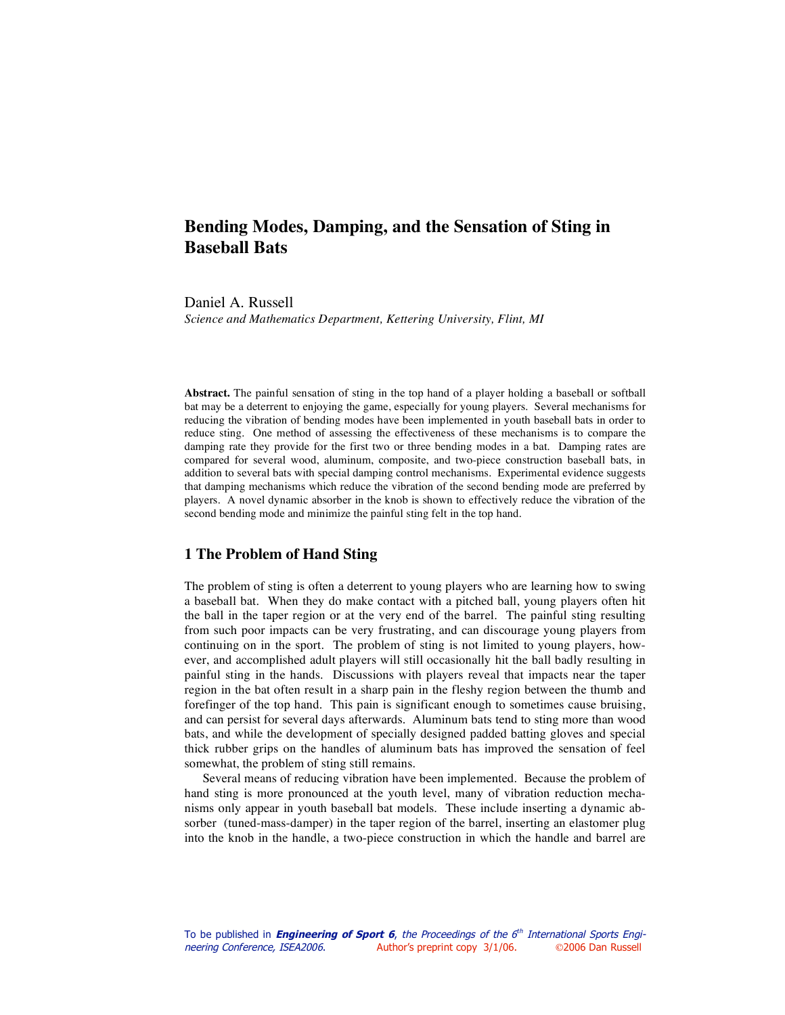# **Bending Modes, Damping, and the Sensation of Sting in Baseball Bats**

Daniel A. Russell

*Science and Mathematics Department, Kettering University, Flint, MI*

**Abstract.** The painful sensation of sting in the top hand of a player holding a baseball or softball bat may be a deterrent to enjoying the game, especially for young players. Several mechanisms for reducing the vibration of bending modes have been implemented in youth baseball bats in order to reduce sting. One method of assessing the effectiveness of these mechanisms is to compare the damping rate they provide for the first two or three bending modes in a bat. Damping rates are compared for several wood, aluminum, composite, and two-piece construction baseball bats, in addition to several bats with special damping control mechanisms. Experimental evidence suggests that damping mechanisms which reduce the vibration of the second bending mode are preferred by players. A novel dynamic absorber in the knob is shown to effectively reduce the vibration of the second bending mode and minimize the painful sting felt in the top hand.

### **1 The Problem of Hand Sting**

The problem of sting is often a deterrent to young players who are learning how to swing a baseball bat. When they do make contact with a pitched ball, young players often hit the ball in the taper region or at the very end of the barrel. The painful sting resulting from such poor impacts can be very frustrating, and can discourage young players from continuing on in the sport. The problem of sting is not limited to young players, however, and accomplished adult players will still occasionally hit the ball badly resulting in painful sting in the hands. Discussions with players reveal that impacts near the taper region in the bat often result in a sharp pain in the fleshy region between the thumb and forefinger of the top hand. This pain is significant enough to sometimes cause bruising, and can persist for several days afterwards. Aluminum bats tend to sting more than wood bats, and while the development of specially designed padded batting gloves and special thick rubber grips on the handles of aluminum bats has improved the sensation of feel somewhat, the problem of sting still remains.

Several means of reducing vibration have been implemented. Because the problem of hand sting is more pronounced at the youth level, many of vibration reduction mechanisms only appear in youth baseball bat models. These include inserting a dynamic absorber (tuned-mass-damper) in the taper region of the barrel, inserting an elastomer plug into the knob in the handle, a two-piece construction in which the handle and barrel are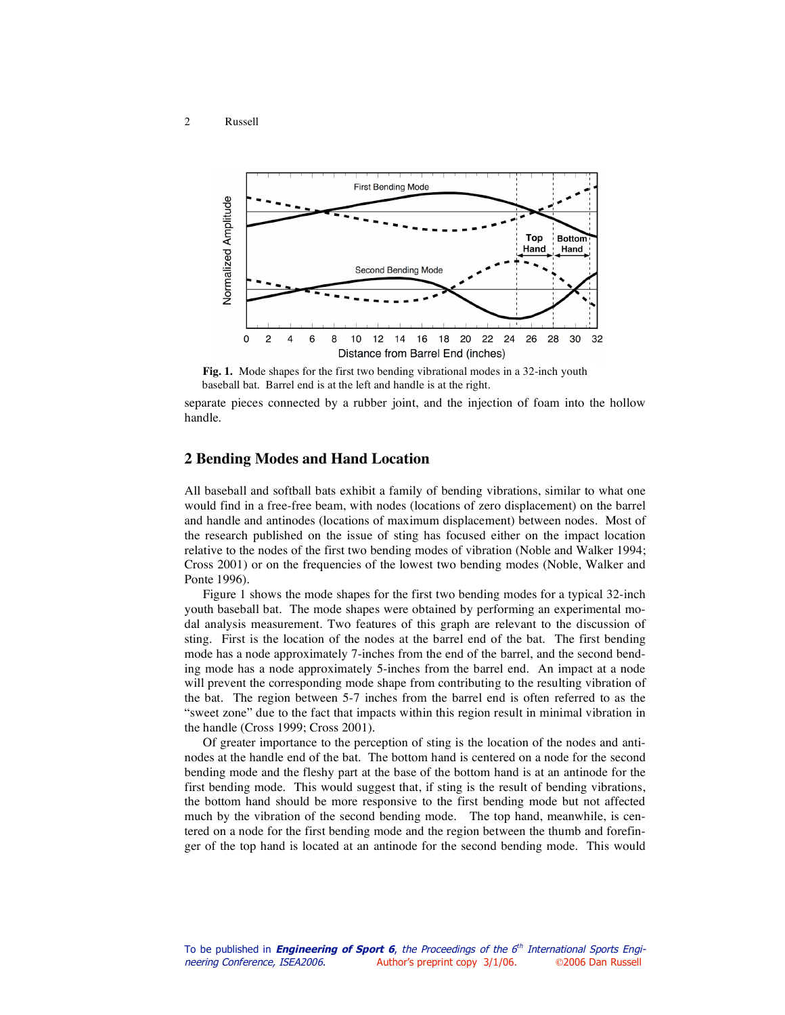#### 2 Russell



**Fig. 1.** Mode shapes for the first two bending vibrational modes in a 32-inch youth baseball bat. Barrel end is at the left and handle is at the right.



ger of the top hand is located at an antinode for the second bending mode. This would

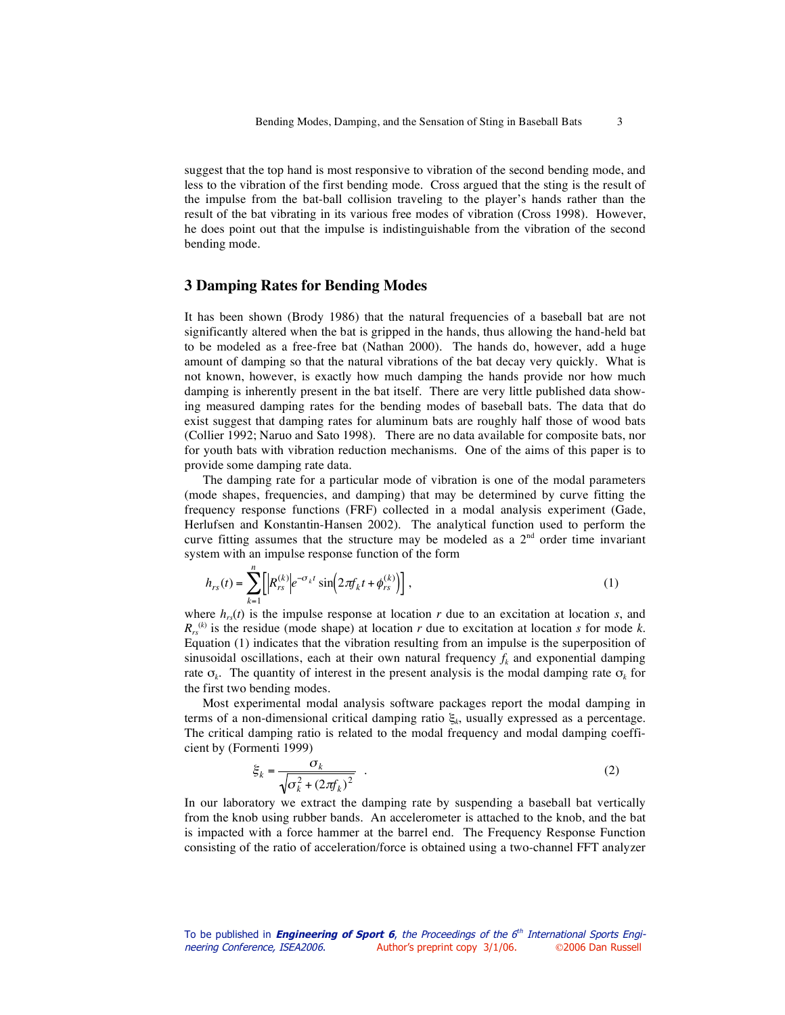suggest that the top hand is most responsive to vibration of the second bending mode, and less to the vibration of the first bending mode. Cross argued that the sting is the result of the impulse from the bat-ball collision traveling to the player's hands rather than the result of the bat vibrating in its various free modes of vibration (Cross 1998). However, he does point out that the impulse is indistinguishable from the vibration of the second bending mode.

## **3 Damping Rates for Bending Modes**

It has been shown (Brody 1986) that the natural frequencies of a baseball bat are not significantly altered when the bat is gripped in the hands, thus allowing the hand-held bat to be modeled as a free-free bat (Nathan 2000). The hands do, however, add a huge amount of damping so that the natural vibrations of the bat decay very quickly. What is not known, however, is exactly how much damping the hands provide nor how much damping is inherently present in the bat itself. There are very little published data showing measured damping rates for the bending modes of baseball bats. The data that do exist suggest that damping rates for aluminum bats are roughly half those of wood bats (Collier 1992; Naruo and Sato 1998). There are no data available for composite bats, nor for youth bats with vibration reduction mechanisms. One of the aims of this paper is to provide some damping rate data.

The damping rate for a particular mode of vibration is one of the modal parameters (mode shapes, frequencies, and damping) that may be determined by curve fitting the frequency response functions (FRF) collected in a modal analysis experiment (Gade, Herlufsen and Konstantin-Hansen 2002). The analytical function used to perform the curve fitting assumes that the structure may be modeled as a  $2<sup>nd</sup>$  order time invariant system with an impulse response function of the form

$$
h_{rs}(t) = \sum_{k=1}^{n} \left[ \left| R_{rs}^{(k)} \right| e^{-\sigma_k t} \sin \left( 2\pi f_k t + \phi_{rs}^{(k)} \right) \right],
$$
 (1)

where  $h_{rs}(t)$  is the impulse response at location *r* due to an excitation at location *s*, and  $R_{rs}^{(k)}$  is the residue (mode shape) at location *r* due to excitation at location *s* for mode *k*. Equation (1) indicates that the vibration resulting from an impulse is the superposition of sinusoidal oscillations, each at their own natural frequency  $f_k$  and exponential damping rate  $\sigma_k$ . The quantity of interest in the present analysis is the modal damping rate  $\sigma_k$  for the first two bending modes.

Most experimental modal analysis software packages report the modal damping in terms of a non-dimensional critical damping ratio ξ*k*, usually expressed as a percentage. The critical damping ratio is related to the modal frequency and modal damping coefficient by (Formenti 1999)

$$
\xi_k = \frac{\sigma_k}{\sqrt{\sigma_k^2 + (2\pi f_k)^2}} \tag{2}
$$

consisting of the ratio of acceleration/force is obtained using a two-channel FFT analyzer In our laboratory we extract the damping rate by suspending a baseball bat vertically from the knob using rubber bands. An accelerometer is attached to the knob, and the bat is impacted with a force hammer at the barrel end. The Frequency Response Function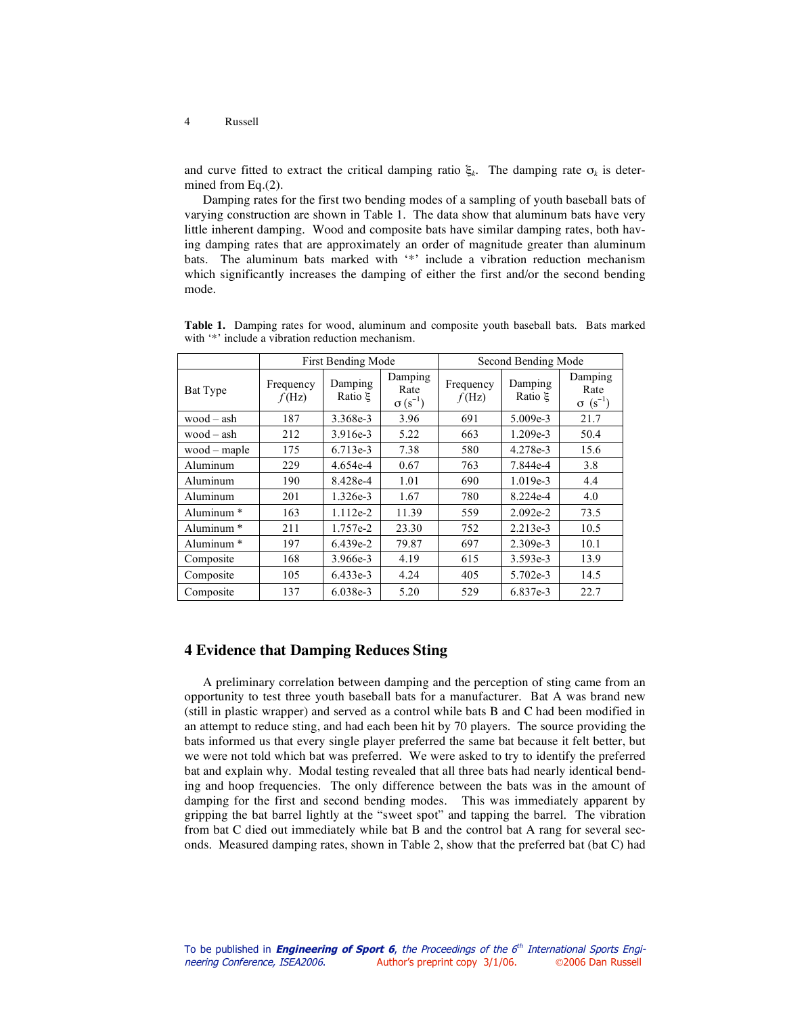#### 4 Russell

and curve fitted to extract the critical damping ratio  $\xi_k$ . The damping rate  $\sigma_k$  is determined from Eq.(2).

Damping rates for the first two bending modes of a sampling of youth baseball bats of varying construction are shown in Table 1. The data show that aluminum bats have very little inherent damping. Wood and composite bats have similar damping rates, both having damping rates that are approximately an order of magnitude greater than aluminum bats. The aluminum bats marked with '\*' include a vibration reduction mechanism which significantly increases the damping of either the first and/or the second bending mode.

|                       | <b>First Bending Mode</b> |                    |                                     | Second Bending Mode |                    |                                      |
|-----------------------|---------------------------|--------------------|-------------------------------------|---------------------|--------------------|--------------------------------------|
| Bat Type              | Frequency<br>f(Hz)        | Damping<br>Ratio E | Damping<br>Rate<br>$\sigma(s^{-1})$ | Frequency<br>f(Hz)  | Damping<br>Ratio E | Damping<br>Rate<br>$\sigma (s^{-1})$ |
| $wood - ash$          | 187                       | 3.368e-3           | 3.96                                | 691                 | 5.009e-3           | 21.7                                 |
| $wood - ash$          | 212                       | 3.916e-3           | 5.22                                | 663                 | 1.209e-3           | 50.4                                 |
| $wood - maple$        | 175                       | 6.713e-3           | 7.38                                | 580                 | 4.278e-3           | 15.6                                 |
| Aluminum              | 229                       | 4.654e-4           | 0.67                                | 763                 | 7.844e-4           | 3.8                                  |
| Aluminum              | 190                       | 8.428e-4           | 1.01                                | 690                 | 1.019e-3           | 4.4                                  |
| Aluminum              | 201                       | 1.326e-3           | 1.67                                | 780                 | 8.224e-4           | 4.0                                  |
| Aluminum <sup>*</sup> | 163                       | 1.112e-2           | 11.39                               | 559                 | $2.092e-2$         | 73.5                                 |
| Aluminum <sup>*</sup> | 211                       | 1.757e-2           | 23.30                               | 752                 | 2.213e-3           | 10.5                                 |
| Aluminum <sup>*</sup> | 197                       | 6.439e-2           | 79.87                               | 697                 | 2.309e-3           | 10.1                                 |
| Composite             | 168                       | 3.966e-3           | 4.19                                | 615                 | 3.593e-3           | 13.9                                 |
| Composite             | 105                       | 6.433e-3           | 4.24                                | 405                 | 5.702e-3           | 14.5                                 |
| Composite             | 137                       | $6.038e-3$         | 5.20                                | 529                 | 6.837e-3           | 22.7                                 |

**Table 1.** Damping rates for wood, aluminum and composite youth baseball bats. Bats marked with '\*' include a vibration reduction mechanism.

# **4 Evidence that Damping Reduces Sting**

A preliminary correlation between damping and the perception of sting came from an opportunity to test three youth baseball bats for a manufacturer. Bat A was brand new (still in plastic wrapper) and served as a control while bats B and C had been modified in an attempt to reduce sting, and had each been hit by 70 players. The source providing the bats informed us that every single player preferred the same bat because it felt better, but we were not told which bat was preferred. We were asked to try to identify the preferred bat and explain why. Modal testing revealed that all three bats had nearly identical bending and hoop frequencies. The only difference between the bats was in the amount of damping for the first and second bending modes. This was immediately apparent by gripping the bat barrel lightly at the "sweet spot" and tapping the barrel. The vibration from bat C died out immediately while bat B and the control bat A rang for several seconds. Measured damping rates, shown in Table 2, show that the preferred bat (bat C) had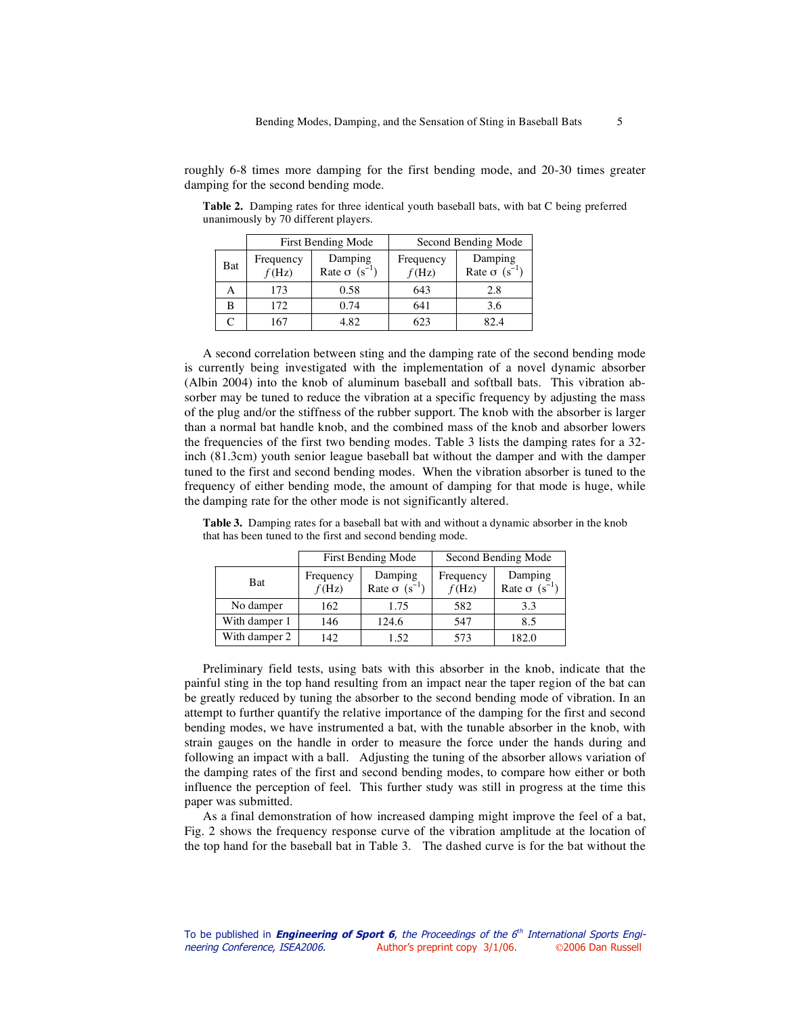roughly 6-8 times more damping for the first bending mode, and 20-30 times greater damping for the second bending mode.

|     |                    | First Bending Mode                          | Second Bending Mode |                                             |  |
|-----|--------------------|---------------------------------------------|---------------------|---------------------------------------------|--|
| Bat | Frequency<br>f(Hz) | Damping<br>Rate $\sigma$ (s <sup>-1</sup> ) | Frequency<br>f(Hz)  | Damping<br>Rate $\sigma$ (s <sup>-1</sup> ) |  |
|     | 173                | 0.58                                        | 643                 | 2.8                                         |  |
| B   | 172                | 0.74                                        | 641                 | 3.6                                         |  |
|     | 167                | 4.82                                        | 623                 | 82.4                                        |  |

**Table 2.** Damping rates for three identical youth baseball bats, with bat C being preferred unanimously by 70 different players.

A second correlation between sting and the damping rate of the second bending mode is currently being investigated with the implementation of a novel dynamic absorber (Albin 2004) into the knob of aluminum baseball and softball bats. This vibration absorber may be tuned to reduce the vibration at a specific frequency by adjusting the mass of the plug and/or the stiffness of the rubber support. The knob with the absorber is larger than a normal bat handle knob, and the combined mass of the knob and absorber lowers the frequencies of the first two bending modes. Table 3 lists the damping rates for a 32 inch (81.3cm) youth senior league baseball bat without the damper and with the damper tuned to the first and second bending modes. When the vibration absorber is tuned to the frequency of either bending mode, the amount of damping for that mode is huge, while the damping rate for the other mode is not significantly altered.

|               | First Bending Mode |                                             | Second Bending Mode |                                             |  |
|---------------|--------------------|---------------------------------------------|---------------------|---------------------------------------------|--|
| <b>Bat</b>    | Frequency<br>f(Hz) | Damping<br>Rate $\sigma$ (s <sup>-1</sup> ) | Frequency<br>f(Hz)  | Damping<br>Rate $\sigma$ (s <sup>-1</sup> ) |  |
| No damper     | 162                | 1.75                                        | 582                 | 3.3                                         |  |
| With damper 1 | 146                | 124.6                                       | 547                 | 8.5                                         |  |
| With damper 2 | 142                | 1.52                                        | 573                 | 182.0                                       |  |

**Table 3.** Damping rates for a baseball bat with and without a dynamic absorber in the knob that has been tuned to the first and second bending mode.

Preliminary field tests, using bats with this absorber in the knob, indicate that the painful sting in the top hand resulting from an impact near the taper region of the bat can be greatly reduced by tuning the absorber to the second bending mode of vibration. In an attempt to further quantify the relative importance of the damping for the first and second bending modes, we have instrumented a bat, with the tunable absorber in the knob, with strain gauges on the handle in order to measure the force under the hands during and following an impact with a ball. Adjusting the tuning of the absorber allows variation of the damping rates of the first and second bending modes, to compare how either or both influence the perception of feel. This further study was still in progress at the time this paper was submitted.

As a final demonstration of how increased damping might improve the feel of a bat, Fig. 2 shows the frequency response curve of the vibration amplitude at the location of the top hand for the baseball bat in Table 3. The dashed curve is for the bat without the